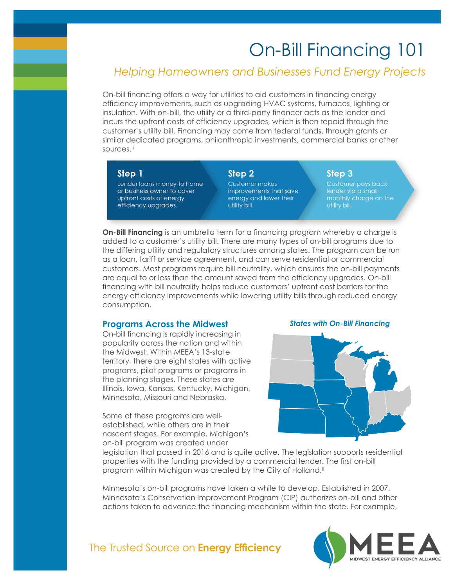# On-Bill Financing 101

# *Helping Homeowners and Businesses Fund Energy Projects*

On-bill financing offers a way for utilities to aid customers in financing energy efficiency improvements, such as upgrading HVAC systems, furnaces, lighting or insulation. With on-bill, the utility or a third-party financer acts as the lender and incurs the upfront costs of efficiency upgrades, which is then repaid through the customer's utility bill. Financing may come from federal funds, through grants or similar dedicated programs, philanthropic investments, commercial banks or other sources. <sup>i</sup>

#### Step 1

Lender loans money to home or business owner to cover upfront costs of energy efficiency upgrades.

## Step 2

**Customer makes** improvements that save eneray and lower their utility bill.

monthly charge on the

Step 3

**On-Bill Financing** is an umbrella term for a financing program whereby a charge is added to a customer's utility bill. There are many types of on-bill programs due to the differing utility and regulatory structures among states. The program can be run as a loan, tariff or service agreement, and can serve residential or commercial customers. Most programs require bill neutrality, which ensures the on-bill payments are equal to or less than the amount saved from the efficiency upgrades. On-bill financing with bill neutrality helps reduce customers' upfront cost barriers for the energy efficiency improvements while lowering utility bills through reduced energy consumption.

#### **Programs Across the Midwest**

On-bill financing is rapidly increasing in popularity across the nation and within the Midwest. Within MEEA's 13-state territory, there are eight states with active programs, pilot programs or programs in the planning stages. These states are Illinois, Iowa, Kansas, Kentucky, Michigan, Minnesota, Missouri and Nebraska.

Some of these programs are wellestablished, while others are in their nascent stages. For example, Michigan's on-bill program was created under

#### *States with On-Bill Financing*



legislation that passed in 2016 and is quite active. The legislation supports residential properties with the funding provided by a commercial lender. The first on-bill program within Michigan was created by the City of Holland.<sup>ii</sup>

Minnesota's on-bill programs have taken a while to develop. Established in 2007, Minnesota's Conservation Improvement Program (CIP) authorizes on-bill and other actions taken to advance the financing mechanism within the state. For example,

## The Trusted Source on Energy Efficiency